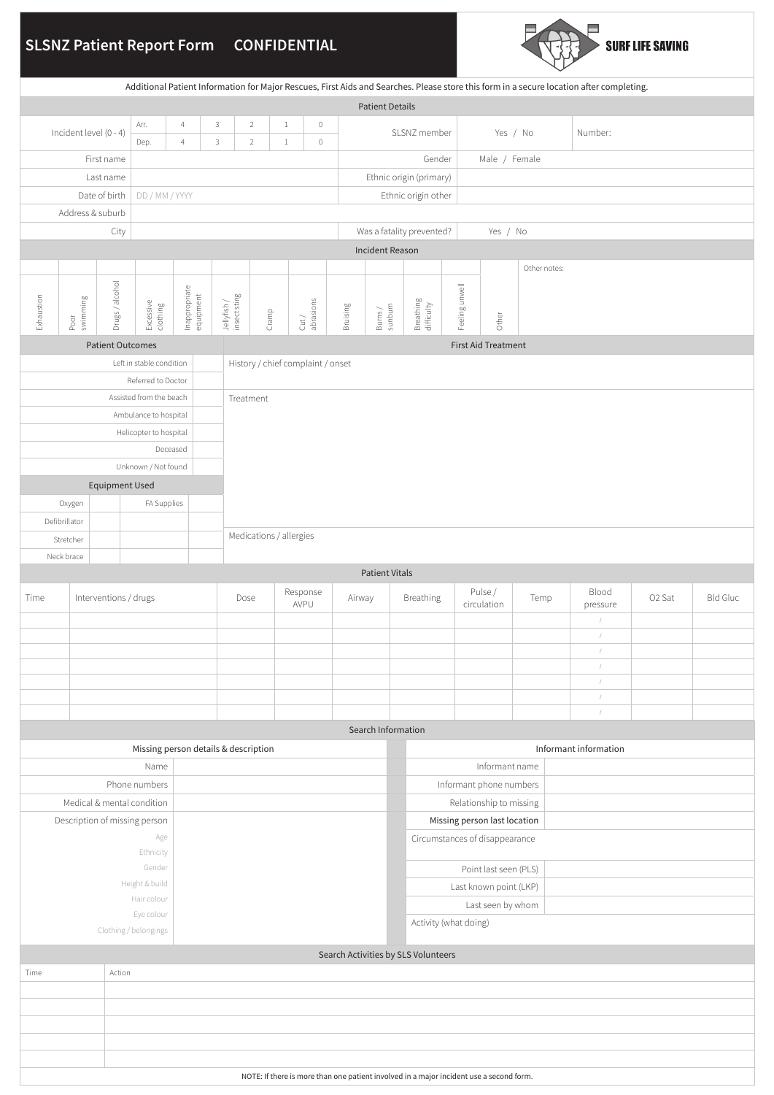# **SLSNZ Patient Report Form CONFIDENTIAL**



| Additional Patient Information for Major Rescues, First Aids and Searches. Please store this form in a secure location after completing. |                               |                         |                                     |                                                            |                             |                                  |                           |                                              |          |                                   |                         |                                |                         |              |                          |                        |                    |                 |  |  |
|------------------------------------------------------------------------------------------------------------------------------------------|-------------------------------|-------------------------|-------------------------------------|------------------------------------------------------------|-----------------------------|----------------------------------|---------------------------|----------------------------------------------|----------|-----------------------------------|-------------------------|--------------------------------|-------------------------|--------------|--------------------------|------------------------|--------------------|-----------------|--|--|
| <b>Patient Details</b>                                                                                                                   |                               |                         |                                     |                                                            |                             |                                  |                           |                                              |          |                                   |                         |                                |                         |              |                          |                        |                    |                 |  |  |
|                                                                                                                                          | Incident level (0 - 4)        |                         |                                     | Arr.<br>3<br>$\overline{4}$<br>3<br>Dep.<br>$\overline{4}$ |                             | $\overline{2}$<br>$\overline{2}$ |                           | $1\,$<br>$\mathbb O$<br>$\mathbb O$<br>$1\,$ |          |                                   |                         | SLSNZ member                   |                         | Yes / No     |                          |                        |                    |                 |  |  |
|                                                                                                                                          |                               | First name              |                                     |                                                            |                             |                                  |                           |                                              |          |                                   |                         |                                |                         |              |                          |                        |                    |                 |  |  |
| Last name                                                                                                                                |                               |                         |                                     |                                                            |                             |                                  |                           |                                              |          | Gender<br>Ethnic origin (primary) |                         |                                | Male / Female           |              |                          |                        |                    |                 |  |  |
| DD / MM / YYYY<br>Date of birth                                                                                                          |                               |                         |                                     |                                                            |                             |                                  |                           |                                              |          |                                   | Ethnic origin other     |                                |                         |              |                          |                        |                    |                 |  |  |
|                                                                                                                                          |                               | Address & suburb        |                                     |                                                            |                             |                                  |                           |                                              |          |                                   |                         |                                |                         |              |                          |                        |                    |                 |  |  |
|                                                                                                                                          |                               |                         |                                     |                                                            |                             |                                  | Was a fatality prevented? |                                              |          |                                   | Yes / No                |                                |                         |              |                          |                        |                    |                 |  |  |
|                                                                                                                                          |                               |                         |                                     |                                                            |                             |                                  |                           |                                              |          | Incident Reason                   |                         |                                |                         |              |                          |                        |                    |                 |  |  |
|                                                                                                                                          |                               |                         |                                     |                                                            |                             |                                  |                           |                                              |          |                                   |                         |                                |                         | Other notes: |                          |                        |                    |                 |  |  |
|                                                                                                                                          |                               |                         |                                     |                                                            |                             |                                  |                           |                                              |          |                                   |                         |                                |                         |              |                          |                        |                    |                 |  |  |
| Exhaustion                                                                                                                               | swimming<br>Poor              | Drugs / alcohol         | Excessive<br>clothing               | Inappropriate<br>equipment                                 | Jellyfish /<br>insect sting | Cramp                            |                           | Cut/<br>abrasions                            | Bruising | $\frac{Bums}{summm}$              | Breathing<br>difficulty |                                | Feeling unwell<br>Other |              |                          |                        |                    |                 |  |  |
|                                                                                                                                          |                               |                         |                                     |                                                            |                             |                                  |                           |                                              |          |                                   |                         |                                |                         |              |                          |                        |                    |                 |  |  |
| <b>Patient Outcomes</b><br><b>First Aid Treatment</b><br>Left in stable condition<br>History / chief complaint / onset                   |                               |                         |                                     |                                                            |                             |                                  |                           |                                              |          |                                   |                         |                                |                         |              |                          |                        |                    |                 |  |  |
| Referred to Doctor                                                                                                                       |                               |                         |                                     |                                                            |                             |                                  |                           |                                              |          |                                   |                         |                                |                         |              |                          |                        |                    |                 |  |  |
|                                                                                                                                          |                               | Assisted from the beach |                                     | Treatment                                                  |                             |                                  |                           |                                              |          |                                   |                         |                                |                         |              |                          |                        |                    |                 |  |  |
|                                                                                                                                          |                               |                         | Ambulance to hospital               |                                                            |                             |                                  |                           |                                              |          |                                   |                         |                                |                         |              |                          |                        |                    |                 |  |  |
|                                                                                                                                          |                               |                         | Helicopter to hospital              |                                                            |                             |                                  |                           |                                              |          |                                   |                         |                                |                         |              |                          |                        |                    |                 |  |  |
|                                                                                                                                          |                               |                         |                                     | Deceased                                                   |                             |                                  |                           |                                              |          |                                   |                         |                                |                         |              |                          |                        |                    |                 |  |  |
|                                                                                                                                          |                               |                         | Unknown / Not found                 |                                                            |                             |                                  |                           |                                              |          |                                   |                         |                                |                         |              |                          |                        |                    |                 |  |  |
| <b>Equipment Used</b><br>FA Supplies<br>Oxygen                                                                                           |                               |                         |                                     |                                                            |                             |                                  |                           |                                              |          |                                   |                         |                                |                         |              |                          |                        |                    |                 |  |  |
|                                                                                                                                          | Defibrillator                 |                         |                                     |                                                            |                             |                                  |                           |                                              |          |                                   |                         |                                |                         |              |                          |                        |                    |                 |  |  |
|                                                                                                                                          | Stretcher                     |                         |                                     | Medications / allergies                                    |                             |                                  |                           |                                              |          |                                   |                         |                                |                         |              |                          |                        |                    |                 |  |  |
|                                                                                                                                          | Neck brace                    |                         |                                     |                                                            |                             |                                  |                           |                                              |          |                                   |                         |                                |                         |              |                          |                        |                    |                 |  |  |
| <b>Patient Vitals</b>                                                                                                                    |                               |                         |                                     |                                                            |                             |                                  |                           |                                              |          |                                   |                         |                                |                         |              |                          |                        |                    |                 |  |  |
| Time                                                                                                                                     | Interventions / drugs         |                         |                                     |                                                            |                             |                                  |                           | Response<br>Airway<br>AVPU                   |          |                                   | Breathing               |                                | Pulse /<br>circulation  |              | Temp                     | Blood<br>pressure      | O <sub>2</sub> Sat | <b>Bld Gluc</b> |  |  |
|                                                                                                                                          |                               |                         |                                     |                                                            |                             |                                  |                           |                                              |          |                                   |                         |                                |                         |              |                          | $\!\! /$<br>$\sqrt{2}$ |                    |                 |  |  |
|                                                                                                                                          |                               |                         |                                     |                                                            |                             |                                  |                           |                                              |          |                                   |                         |                                |                         |              | $\sqrt{2}$<br>$\sqrt{2}$ |                        |                    |                 |  |  |
|                                                                                                                                          |                               |                         |                                     |                                                            |                             |                                  |                           |                                              |          |                                   |                         |                                |                         |              |                          | $\sqrt{2}$             |                    |                 |  |  |
|                                                                                                                                          |                               |                         |                                     |                                                            |                             |                                  |                           |                                              |          |                                   |                         |                                |                         |              |                          | $\sqrt{2}$             |                    |                 |  |  |
|                                                                                                                                          |                               |                         |                                     |                                                            |                             |                                  | Search Information        |                                              |          |                                   |                         |                                |                         |              |                          | $\overline{1}$         |                    |                 |  |  |
|                                                                                                                                          |                               |                         |                                     | Missing person details & description                       |                             |                                  |                           |                                              |          |                                   |                         |                                |                         |              |                          | Informant information  |                    |                 |  |  |
|                                                                                                                                          |                               |                         | Name                                |                                                            |                             |                                  |                           |                                              |          |                                   |                         |                                | Informant name          |              |                          |                        |                    |                 |  |  |
| Phone numbers                                                                                                                            |                               |                         |                                     |                                                            |                             |                                  |                           |                                              |          |                                   |                         |                                | Informant phone numbers |              |                          |                        |                    |                 |  |  |
|                                                                                                                                          | Medical & mental condition    |                         |                                     |                                                            |                             |                                  |                           |                                              |          |                                   |                         | Relationship to missing        |                         |              |                          |                        |                    |                 |  |  |
|                                                                                                                                          | Description of missing person |                         |                                     |                                                            |                             |                                  |                           |                                              |          |                                   |                         | Missing person last location   |                         |              |                          |                        |                    |                 |  |  |
| Age<br>Ethnicity                                                                                                                         |                               |                         |                                     |                                                            |                             |                                  |                           |                                              |          |                                   |                         | Circumstances of disappearance |                         |              |                          |                        |                    |                 |  |  |
|                                                                                                                                          | Gender                        |                         |                                     |                                                            |                             |                                  |                           |                                              |          |                                   |                         | Point last seen (PLS)          |                         |              |                          |                        |                    |                 |  |  |
| Height & build                                                                                                                           |                               |                         |                                     |                                                            |                             |                                  |                           |                                              |          |                                   |                         | Last known point (LKP)         |                         |              |                          |                        |                    |                 |  |  |
|                                                                                                                                          |                               |                         | Hair colour                         |                                                            |                             |                                  |                           |                                              |          |                                   |                         | Last seen by whom              |                         |              |                          |                        |                    |                 |  |  |
|                                                                                                                                          |                               |                         | Eye colour<br>Clothing / belongings |                                                            |                             |                                  |                           |                                              |          |                                   |                         |                                | Activity (what doing)   |              |                          |                        |                    |                 |  |  |
| Search Activities by SLS Volunteers                                                                                                      |                               |                         |                                     |                                                            |                             |                                  |                           |                                              |          |                                   |                         |                                |                         |              |                          |                        |                    |                 |  |  |
| Time                                                                                                                                     |                               | Action                  |                                     |                                                            |                             |                                  |                           |                                              |          |                                   |                         |                                |                         |              |                          |                        |                    |                 |  |  |
|                                                                                                                                          |                               |                         |                                     |                                                            |                             |                                  |                           |                                              |          |                                   |                         |                                |                         |              |                          |                        |                    |                 |  |  |
|                                                                                                                                          |                               |                         |                                     |                                                            |                             |                                  |                           |                                              |          |                                   |                         |                                |                         |              |                          |                        |                    |                 |  |  |
|                                                                                                                                          |                               |                         |                                     |                                                            |                             |                                  |                           |                                              |          |                                   |                         |                                |                         |              |                          |                        |                    |                 |  |  |
|                                                                                                                                          |                               |                         |                                     |                                                            |                             |                                  |                           |                                              |          |                                   |                         |                                |                         |              |                          |                        |                    |                 |  |  |